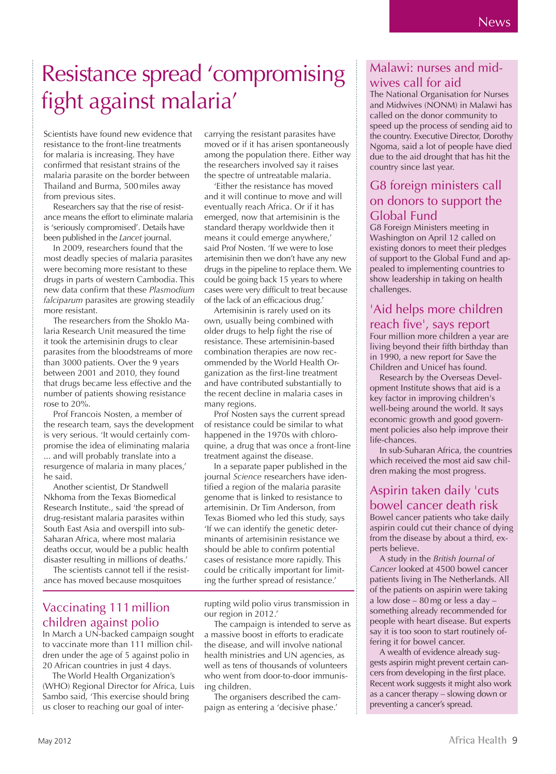# Resistance spread 'compromising fight against malaria'

Scientists have found new evidence that resistance to the front-line treatments for malaria is increasing. They have confirmed that resistant strains of the malaria parasite on the border between Thailand and Burma, 500miles away from previous sites.

Researchers say that the rise of resistance means the effort to eliminate malaria is 'seriously compromised'. Details have been published in the *Lancet* journal.

In 2009, researchers found that the most deadly species of malaria parasites were becoming more resistant to these drugs in parts of western Cambodia. This new data confirm that these *Plasmodium falciparum* parasites are growing steadily more resistant.

The researchers from the Shoklo Malaria Research Unit measured the time it took the artemisinin drugs to clear parasites from the bloodstreams of more than 3000 patients. Over the 9 years between 2001 and 2010, they found that drugs became less effective and the number of patients showing resistance rose to 20%.

Prof Francois Nosten, a member of the research team, says the development is very serious. 'It would certainly compromise the idea of eliminating malaria ... and will probably translate into a resurgence of malaria in many places,' he said.

Another scientist, Dr Standwell Nkhoma from the Texas Biomedical Research Institute., said 'the spread of drug-resistant malaria parasites within South East Asia and overspill into sub-Saharan Africa, where most malaria deaths occur, would be a public health disaster resulting in millions of deaths.'

The scientists cannot tell if the resistance has moved because mosquitoes

#### Vaccinating 111million children against polio

In March a UN-backed campaign sought to vaccinate more than 111 million children under the age of 5 against polio in 20 African countries in just 4 days.

The World Health Organization's (WHO) Regional Director for Africa, Luis Sambo said, 'This exercise should bring us closer to reaching our goal of intercarrying the resistant parasites have moved or if it has arisen spontaneously among the population there. Either way the researchers involved say it raises the spectre of untreatable malaria.

'Either the resistance has moved and it will continue to move and will eventually reach Africa. Or if it has emerged, now that artemisinin is the standard therapy worldwide then it means it could emerge anywhere,' said Prof Nosten. 'If we were to lose artemisinin then we don't have any new drugs in the pipeline to replace them. We could be going back 15 years to where cases were very difficult to treat because of the lack of an efficacious drug.'

Artemisinin is rarely used on its own, usually being combined with older drugs to help fight the rise of resistance. These artemisinin-based combination therapies are now recommended by the World Health Organization as the first-line treatment and have contributed substantially to the recent decline in malaria cases in many regions.

Prof Nosten says the current spread of resistance could be similar to what happened in the 1970s with chloroquine, a drug that was once a front-line treatment against the disease.

In a separate paper published in the journal *Science* researchers have identified a region of the malaria parasite genome that is linked to resistance to artemisinin. Dr Tim Anderson, from Texas Biomed who led this study, says 'If we can identify the genetic determinants of artemisinin resistance we should be able to confirm potential cases of resistance more rapidly. This could be critically important for limiting the further spread of resistance.'

rupting wild polio virus transmission in our region in 2012.'

The campaign is intended to serve as a massive boost in efforts to eradicate the disease, and will involve national health ministries and UN agencies, as well as tens of thousands of volunteers who went from door-to-door immunising children.

The organisers described the campaign as entering a 'decisive phase.'

#### Malawi: nurses and midwives call for aid

The National Organisation for Nurses and Midwives (NONM) in Malawi has called on the donor community to speed up the process of sending aid to the country. Executive Director, Dorothy Ngoma, said a lot of people have died due to the aid drought that has hit the country since last year.

#### G8 foreign ministers call on donors to support the Global Fund

G8 Foreign Ministers meeting in Washington on April 12 called on existing donors to meet their pledges of support to the Global Fund and appealed to implementing countries to show leadership in taking on health challenges.

#### 'Aid helps more children reach five', says report

Four million more children a year are living beyond their fifth birthday than in 1990, a new report for Save the Children and Unicef has found.

Research by the Overseas Development Institute shows that aid is a key factor in improving children's well-being around the world. It says economic growth and good government policies also help improve their life-chances.

In sub-Suharan Africa, the countries which received the most aid saw children making the most progress.

#### Aspirin taken daily 'cuts bowel cancer death risk

Bowel cancer patients who take daily aspirin could cut their chance of dying from the disease by about a third, experts believe.

A study in the *British Journal of Cancer* looked at 4500 bowel cancer patients living in The Netherlands. All of the patients on aspirin were taking a low dose – 80mg or less a day – something already recommended for people with heart disease. But experts say it is too soon to start routinely offering it for bowel cancer.

A wealth of evidence already suggests aspirin might prevent certain cancers from developing in the first place. Recent work suggests it might also work as a cancer therapy – slowing down or preventing a cancer's spread.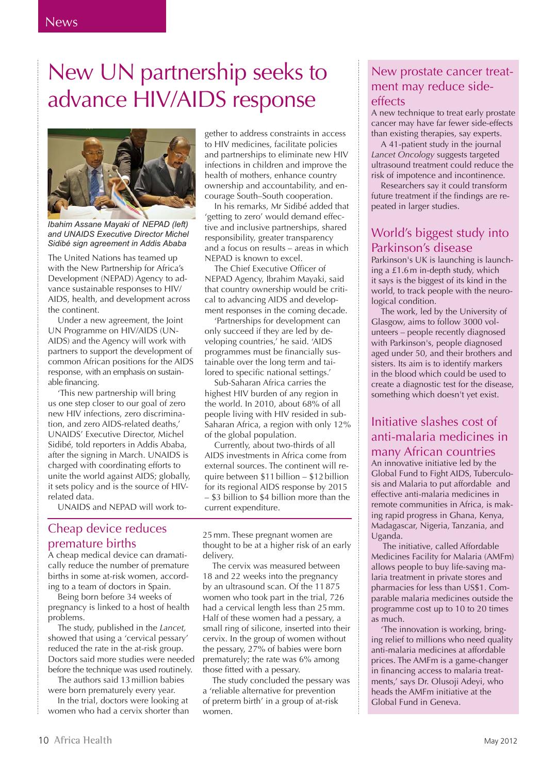# New UN partnership seeks to advance HIV/AIDS response



*Ibahim Assane Mayaki of NEPAD (left) and UNAIDS Executive Director Michel Sidibé sign agreement in Addis Ababa*

The United Nations has teamed up with the New Partnership for Africa's Development (NEPAD) Agency to advance sustainable responses to HIV/ AIDS, health, and development across the continent.

Under a new agreement, the Joint UN Programme on HIV/AIDS (UN-AIDS) and the Agency will work with partners to support the development of common African positions for the AIDS response, with an emphasis on sustainable financing.

'This new partnership will bring us one step closer to our goal of zero new HIV infections, zero discrimination, and zero AIDS-related deaths,' UNAIDS' Executive Director, Michel Sidibé, told reporters in Addis Ababa, after the signing in March. UNAIDS is charged with coordinating efforts to unite the world against AIDS; globally, it sets policy and is the source of HIVrelated data.

UNAIDS and NEPAD will work to-

#### Cheap device reduces premature births

A cheap medical device can dramatically reduce the number of premature births in some at-risk women, according to a team of doctors in Spain.

Being born before 34 weeks of pregnancy is linked to a host of health problems.

The study, published in the *Lancet,*  showed that using a 'cervical pessary' reduced the rate in the at-risk group. Doctors said more studies were needed before the technique was used routinely.

The authors said 13million babies were born prematurely every year.

In the trial, doctors were looking at women who had a cervix shorter than gether to address constraints in access to HIV medicines, facilitate policies and partnerships to eliminate new HIV infections in children and improve the health of mothers, enhance country ownership and accountability, and encourage South–South cooperation.

In his remarks, Mr Sidibé added that 'getting to zero' would demand effective and inclusive partnerships, shared responsibility, greater transparency and a focus on results – areas in which NEPAD is known to excel.

The Chief Executive Officer of NEPAD Agency, Ibrahim Mayaki, said that country ownership would be critical to advancing AIDS and development responses in the coming decade.

'Partnerships for development can only succeed if they are led by developing countries,' he said. 'AIDS programmes must be financially sustainable over the long term and tailored to specific national settings.'

Sub-Saharan Africa carries the highest HIV burden of any region in the world. In 2010, about 68% of all people living with HIV resided in sub-Saharan Africa, a region with only 12% of the global population.

Currently, about two-thirds of all AIDS investments in Africa come from external sources. The continent will require between \$11billion – \$12billion for its regional AIDS response by 2015 – \$3 billion to \$4 billion more than the current expenditure.

25mm. These pregnant women are thought to be at a higher risk of an early delivery.

The cervix was measured between 18 and 22 weeks into the pregnancy by an ultrasound scan. Of the 11875 women who took part in the trial, 726 had a cervical length less than 25mm. Half of these women had a pessary, a small ring of silicone, inserted into their cervix. In the group of women without the pessary, 27% of babies were born prematurely; the rate was 6% among those fitted with a pessary.

The study concluded the pessary was a 'reliable alternative for prevention of preterm birth' in a group of at-risk women.

#### New prostate cancer treatment may reduce sideeffects

A new technique to treat early prostate cancer may have far fewer side-effects than existing therapies, say experts.

A 41-patient study in the journal *Lancet Oncology* suggests targeted ultrasound treatment could reduce the risk of impotence and incontinence.

Researchers say it could transform future treatment if the findings are repeated in larger studies.

#### World's biggest study into Parkinson's disease

Parkinson's UK is launching is launching a £1.6m in-depth study, which it says is the biggest of its kind in the world, to track people with the neurological condition.

The work, led by the University of Glasgow, aims to follow 3000 volunteers – people recently diagnosed with Parkinson's, people diagnosed aged under 50, and their brothers and sisters. Its aim is to identify markers in the blood which could be used to create a diagnostic test for the disease, something which doesn't yet exist.

#### Initiative slashes cost of anti-malaria medicines in many African countries

An innovative initiative led by the Global Fund to Fight AIDS, Tuberculosis and Malaria to put affordable and effective anti-malaria medicines in remote communities in Africa, is making rapid progress in Ghana, Kenya, Madagascar, Nigeria, Tanzania, and Uganda.

 The initiative, called Affordable Medicines Facility for Malaria (AMFm) allows people to buy life-saving malaria treatment in private stores and pharmacies for less than US\$1. Comparable malaria medicines outside the programme cost up to 10 to 20 times as much.

'The innovation is working, bringing relief to millions who need quality anti-malaria medicines at affordable prices. The AMFm is a game-changer in financing access to malaria treatments,' says Dr. Olusoji Adeyi, who heads the AMFm initiative at the Global Fund in Geneva.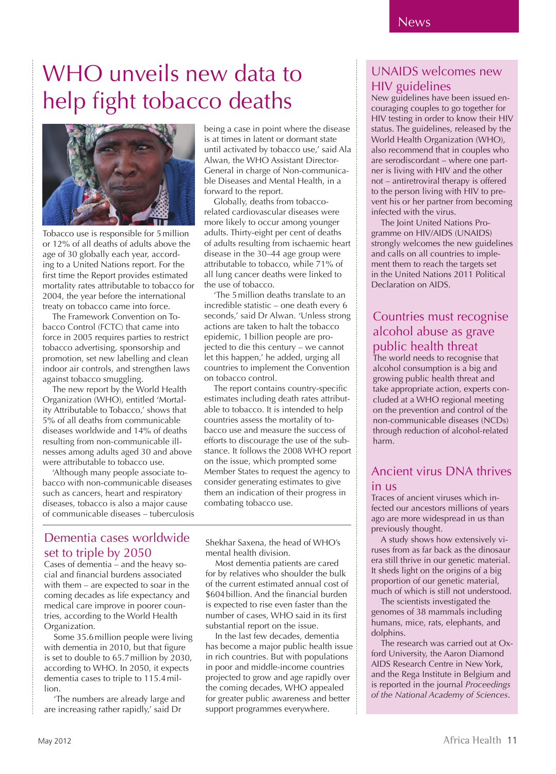# WHO unveils new data to help fight tobacco deaths



Tobacco use is responsible for 5million or 12% of all deaths of adults above the age of 30 globally each year, according to a United Nations report. For the first time the Report provides estimated mortality rates attributable to tobacco for 2004, the year before the international treaty on tobacco came into force.

The Framework Convention on Tobacco Control (FCTC) that came into force in 2005 requires parties to restrict tobacco advertising, sponsorship and promotion, set new labelling and clean indoor air controls, and strengthen laws against tobacco smuggling.

The new report by the World Health Organization (WHO), entitled 'Mortality Attributable to Tobacco,' shows that 5% of all deaths from communicable diseases worldwide and 14% of deaths resulting from non-communicable illnesses among adults aged 30 and above were attributable to tobacco use.

'Although many people associate tobacco with non-communicable diseases such as cancers, heart and respiratory diseases, tobacco is also a major cause of communicable diseases – tuberculosis being a case in point where the disease is at times in latent or dormant state until activated by tobacco use,' said Ala Alwan, the WHO Assistant Director-General in charge of Non-communicable Diseases and Mental Health, in a forward to the report.

Globally, deaths from tobaccorelated cardiovascular diseases were more likely to occur among younger adults. Thirty-eight per cent of deaths of adults resulting from ischaemic heart disease in the 30–44 age group were attributable to tobacco, while 71% of all lung cancer deaths were linked to the use of tobacco.

'The 5million deaths translate to an incredible statistic – one death every 6 seconds,' said Dr Alwan. 'Unless strong actions are taken to halt the tobacco epidemic, 1billion people are projected to die this century – we cannot let this happen,' he added, urging all countries to implement the Convention on tobacco control.

The report contains country-specific estimates including death rates attributable to tobacco. It is intended to help countries assess the mortality of tobacco use and measure the success of efforts to discourage the use of the substance. It follows the 2008 WHO report on the issue, which prompted some Member States to request the agency to consider generating estimates to give them an indication of their progress in combating tobacco use.

#### Dementia cases worldwide set to triple by 2050

Cases of dementia  $\frac{1}{x}$  and the heavy social and financial burdens associated with them – are expected to soar in the coming decades as life expectancy and medical care improve in poorer countries, according to the World Health Organization.

Some 35.6million people were living with dementia in 2010, but that figure is set to double to 65.7million by 2030, according to WHO. In 2050, it expects dementia cases to triple to 115.4million.

'The numbers are already large and are increasing rather rapidly,' said Dr

Shekhar Saxena, the head of WHO's mental health division.

Most dementia patients are cared for by relatives who shoulder the bulk of the current estimated annual cost of \$604billion. And the financial burden is expected to rise even faster than the number of cases, WHO said in its first substantial report on the issue.

In the last few decades, dementia has become a major public health issue in rich countries. But with populations in poor and middle-income countries projected to grow and age rapidly over the coming decades, WHO appealed for greater public awareness and better support programmes everywhere.

#### UNAIDS welcomes new HIV guidelines

New guidelines have been issued encouraging couples to go together for HIV testing in order to know their HIV status. The guidelines, released by the World Health Organization (WHO), also recommend that in couples who are serodiscordant – where one partner is living with HIV and the other not – antiretroviral therapy is offered to the person living with HIV to prevent his or her partner from becoming infected with the virus.

The Joint United Nations Programme on HIV/AIDS (UNAIDS) strongly welcomes the new guidelines and calls on all countries to implement them to reach the targets set in the United Nations 2011 Political Declaration on AIDS.

#### Countries must recognise alcohol abuse as grave public health threat

The world needs to recognise that alcohol consumption is a big and growing public health threat and take appropriate action, experts concluded at a WHO regional meeting on the prevention and control of the non-communicable diseases (NCDs) through reduction of alcohol-related harm.

#### Ancient virus DNA thrives in us

Traces of ancient viruses which infected our ancestors millions of years ago are more widespread in us than previously thought.

A study shows how extensively viruses from as far back as the dinosaur era still thrive in our genetic material. It sheds light on the origins of a big proportion of our genetic material, much of which is still not understood.

The scientists investigated the genomes of 38 mammals including humans, mice, rats, elephants, and dolphins.

The research was carried out at Oxford University, the Aaron Diamond AIDS Research Centre in New York, and the Rega Institute in Belgium and is reported in the journal *Proceedings of the National Academy of Sciences*.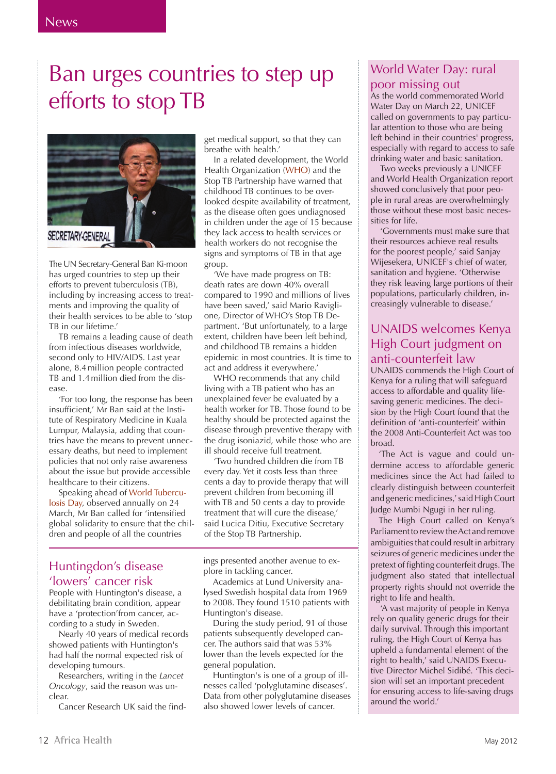### Ban urges countries to step up efforts to stop TB



The UN Secretary-General Ban Ki-moon has urged countries to step up their efforts to prevent tuberculosis (TB), including by increasing access to treatments and improving the quality of their health services to be able to 'stop TB in our lifetime.'

TB remains a leading cause of death from infectious diseases worldwide, second only to HIV/AIDS. Last year alone, 8.4million people contracted TB and 1.4million died from the disease.

'For too long, the response has been insufficient,' Mr Ban said at the Institute of Respiratory Medicine in Kuala Lumpur, Malaysia, adding that countries have the means to prevent unnecessary deaths, but need to implement policies that not only raise awareness about the issue but provide accessible healthcare to their citizens.

Speaking ahead of World Tuberculosis Day, observed annually on 24 March, Mr Ban called for 'intensified global solidarity to ensure that the children and people of all the countries

get medical support, so that they can breathe with health.'

In a related development, the World Health Organization (WHO) and the Stop TB Partnership have warned that childhood TB continues to be overlooked despite availability of treatment, as the disease often goes undiagnosed in children under the age of 15 because they lack access to health services or health workers do not recognise the signs and symptoms of TB in that age group.

'We have made progress on TB: death rates are down 40% overall compared to 1990 and millions of lives have been saved,' said Mario Raviglione, Director of WHO's Stop TB Department. 'But unfortunately, to a large extent, children have been left behind, and childhood TB remains a hidden epidemic in most countries. It is time to act and address it everywhere.'

WHO recommends that any child living with a TB patient who has an unexplained fever be evaluated by a health worker for TB. Those found to be healthy should be protected against the disease through preventive therapy with the drug isoniazid, while those who are ill should receive full treatment.

'Two hundred children die from TB every day. Yet it costs less than three cents a day to provide therapy that will prevent children from becoming ill with TB and 50 cents a day to provide treatment that will cure the disease,' said Lucica Ditiu, Executive Secretary of the Stop TB Partnership.

#### Huntingdon's disease 'lowers' cancer risk

People with Huntington's disease, a debilitating brain condition, appear have a 'protection'from cancer, according to a study in Sweden.

Nearly 40 years of medical records showed patients with Huntington's had half the normal expected risk of developing tumours.

Researchers, writing in the *Lancet Oncology*, said the reason was unclear.

Cancer Research UK said the find-

ings presented another avenue to explore in tackling cancer.

Academics at Lund University analysed Swedish hospital data from 1969 to 2008. They found 1510 patients with Huntington's disease.

During the study period, 91 of those patients subsequently developed cancer. The authors said that was 53% lower than the levels expected for the general population.

Huntington's is one of a group of illnesses called 'polyglutamine diseases'. Data from other polyglutamine diseases also showed lower levels of cancer.

#### World Water Day: rural poor missing out

As the world commemorated World Water Day on March 22, UNICEF called on governments to pay particular attention to those who are being left behind in their countries' progress, especially with regard to access to safe drinking water and basic sanitation.

Two weeks previously a UNICEF and World Health Organization report showed conclusively that poor people in rural areas are overwhelmingly those without these most basic necessities for life.

'Governments must make sure that their resources achieve real results for the poorest people,' said Sanjay Wijesekera, UNICEF's chief of water, sanitation and hygiene. 'Otherwise they risk leaving large portions of their populations, particularly children, increasingly vulnerable to disease.'

#### UNAIDS welcomes Kenya High Court judgment on anti-counterfeit law

UNAIDS commends the High Court of Kenya for a ruling that will safeguard access to affordable and quality lifesaving generic medicines. The decision by the High Court found that the definition of 'anti-counterfeit' within the 2008 Anti-Counterfeit Act was too broad.

'The Act is vague and could undermine access to affordable generic medicines since the Act had failed to clearly distinguish between counterfeit and generic medicines,' said High Court Judge Mumbi Ngugi in her ruling.

The High Court called on Kenya's Parliament to review the Act and remove ambiguities that could result in arbitrary seizures of generic medicines under the pretext of fighting counterfeit drugs. The judgment also stated that intellectual property rights should not override the right to life and health.

'A vast majority of people in Kenya rely on quality generic drugs for their daily survival. Through this important ruling, the High Court of Kenya has upheld a fundamental element of the right to health,' said UNAIDS Executive Director Michel Sidibé. 'This decision will set an important precedent for ensuring access to life-saving drugs around the world.'